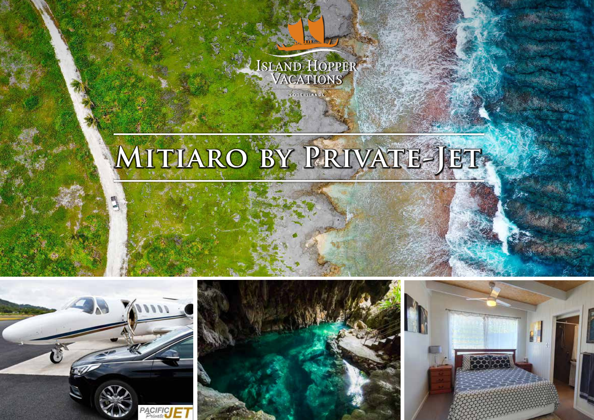

# MITIARO BY PRIVATE-JET-







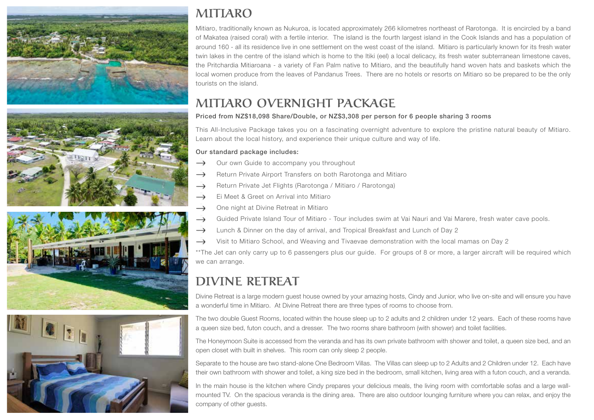







## **MITIARO**

Mitiaro, traditionally known as Nukuroa, is located approximately 266 kilometres northeast of Rarotonga. It is encircled by a band of Makatea (raised coral) with a fertile interior. The island is the fourth largest island in the Cook Islands and has a population of around 160 - all its residence live in one settlement on the west coast of the island. Mitiaro is particularly known for its fresh water twin lakes in the centre of the island which is home to the Itiki (eel) a local delicacy, its fresh water subterranean limestone caves, the Pritchardia Mitiaroana - a variety of Fan Palm native to Mitiaro, and the beautifully hand woven hats and baskets which the local women produce from the leaves of Pandanus Trees. There are no hotels or resorts on Mitiaro so be prepared to be the only tourists on the island.

# **MITIARO OVERNIGHT PACKAGE**

### Priced from NZ\$18,098 Share/Double, or NZ\$3,308 per person for 6 people sharing 3 rooms

This All-Inclusive Package takes you on a fascinating overnight adventure to explore the pristine natural beauty of Mitiaro. Learn about the local history, and experience their unique culture and way of life.

#### Our standard package includes:

- $\rightarrow$  Our own Guide to accompany you throughout
- $\rightarrow$  Return Private Airport Transfers on both Rarotonga and Mitiaro
- Return Private Jet Flights (Rarotonga / Mitiaro / Rarotonga)
- $\rightarrow$  Ei Meet & Greet on Arrival into Mitiaro
- $\rightarrow$  One night at Divine Retreat in Mitiaro
- Guided Private Island Tour of Mitiaro Tour includes swim at Vai Nauri and Vai Marere, fresh water cave pools.
- $\rightarrow$  Lunch & Dinner on the day of arrival, and Tropical Breakfast and Lunch of Day 2
- $\rightarrow$  Visit to Mitiaro School, and Weaving and Tivaevae demonstration with the local mamas on Day 2

\*\*The Jet can only carry up to 6 passengers plus our guide. For groups of 8 or more, a larger aircraft will be required which we can arrange.

## **DIVINE RETREAT**

Divine Retreat is a large modern guest house owned by your amazing hosts, Cindy and Junior, who live on-site and will ensure you have a wonderful time in Mitiaro. At Divine Retreat there are three types of rooms to choose from.

The two double Guest Rooms, located within the house sleep up to 2 adults and 2 children under 12 years. Each of these rooms have a queen size bed, futon couch, and a dresser. The two rooms share bathroom (with shower) and toilet facilities.

The Honeymoon Suite is accessed from the veranda and has its own private bathroom with shower and toilet, a queen size bed, and an open closet with built in shelves. This room can only sleep 2 people.

Separate to the house are two stand-alone One Bedroom Villas. The Villas can sleep up to 2 Adults and 2 Children under 12. Each have their own bathroom with shower and toilet, a king size bed in the bedroom, small kitchen, living area with a futon couch, and a veranda.

In the main house is the kitchen where Cindy prepares your delicious meals, the living room with comfortable sofas and a large wallmounted TV. On the spacious veranda is the dining area. There are also outdoor lounging furniture where you can relax, and enjoy the company of other guests.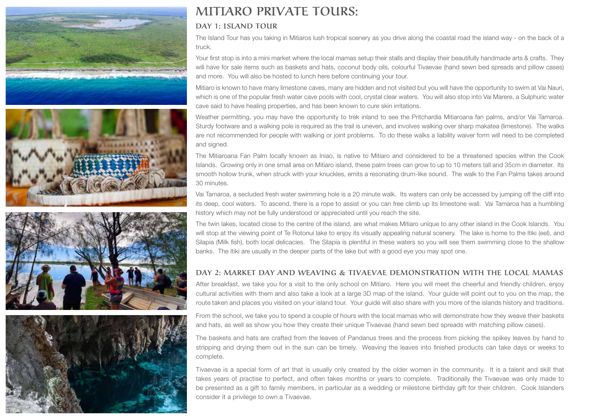







## **MITIARO PRIVATE TOURS:**

## **DAY 1: ISLAND TOUR**

The Island Tour has you taking in Mitiaros lush tropical scenery as you drive along the coastal road the island way - on the back of a truck.

Your first stop is into a mini market where the local mamas setup their stalls and display their beautifully handmade arts & crafts. They will have for sale items such as baskets and hats, coconut body oils, colourful Tivaevae (hand sewn bed spreads and pillow cases) and more. You will also be hosted to lunch here before continuing your tour.

Mitiaro is known to have many limestone caves, many are hidden and not visited but you will have the opportunity to swim at Vai Nauri, which is one of the popular fresh water cave pools with cool, crystal clear waters. You will also stop into Vai Marere, a Sulphuric water cave said to have healing properties, and has been known to cure skin irritations.

Weather permitting, you may have the opportunity to trek inland to see the Pritchardia Mitiaroana fan palms, and/or Vai Tamaroa. Sturdy footware and a walking pole is required as the trail is uneven, and involves walking over sharp makatea (limestone). The walks are not recommended for people with walking or joint problems. To do these walks a liability waiver form will need to be completed and signed.

The Mitiaroana Fan Palm locally known as Iniao, is native to Mitiaro and considered to be a threatened species within the Cook Islands. Growing only in one small area on Mitiaro island, these palm trees can grow to up to 10 meters tall and 35cm in diameter. Its smooth hollow trunk, when struck with your knuckles, emits a resonating drum-like sound. The walk to the Fan Palms takes around 30 minutes.

Vai Tamaroa, a secluded fresh water swimming hole is a 20 minute walk. Its waters can only be accessed by jumping off the cliff into its deep, cool waters. To ascend, there is a rope to assist or you can free climb up its limestone wall. Vai Tamaroa has a humbling history which may not be fully understood or appreciated until you reach the site.

The twin lakes, located close to the centre of the island, are what makes Mitiaro unique to any other island in the Cook Islands. You will stop at the viewing point of Te Rotonui lake to enjoy its visually appealing natural scenery. The lake is home to the Itiki (eel), and Silapia (Milk fish), both local delicacies. The Silapia is plentiful in these waters so you will see them swimming close to the shallow banks. The Itiki are usually in the deeper parts of the lake but with a good eye you may spot one.

#### **DAY 2: MARKET DAY AND WEAVING & TIVAEVAE DEMONSTRATION WITH THE LOCAL MAMAS**

After breakfast, we take you for a visit to the only school on Mitiaro. Here you will meet the cheerful and friendly children, enjoy cultural activities with them and also take a look at a large 3D map of the island. Your guide will point out to you on the map, the route taken and places you visited on your island tour. Your guide will also share with you more of the islands history and traditions.

From the school, we take you to spend a couple of hours with the local mamas who will demonstrate how they weave their baskets and hats, as well as show you how they create their unique Tivaevae (hand sewn bed spreads with matching pillow cases).

The baskets and hats are crafted from the leaves of Pandanus trees and the process from picking the spikey leaves by hand to stripping and drying them out in the sun can be timely. Weaving the leaves into finished products can take days or weeks to complete.

Tivaevae is a special form of art that is usually only created by the older women in the community. It is a talent and skill that takes years of practise to perfect, and often takes months or years to complete. Traditionally the Tivaevae was only made to be presented as a gift to family members, in particular as a wedding or milestone birthday gift for their children. Cook Islanders consider it a privilege to own a Tivaevae.